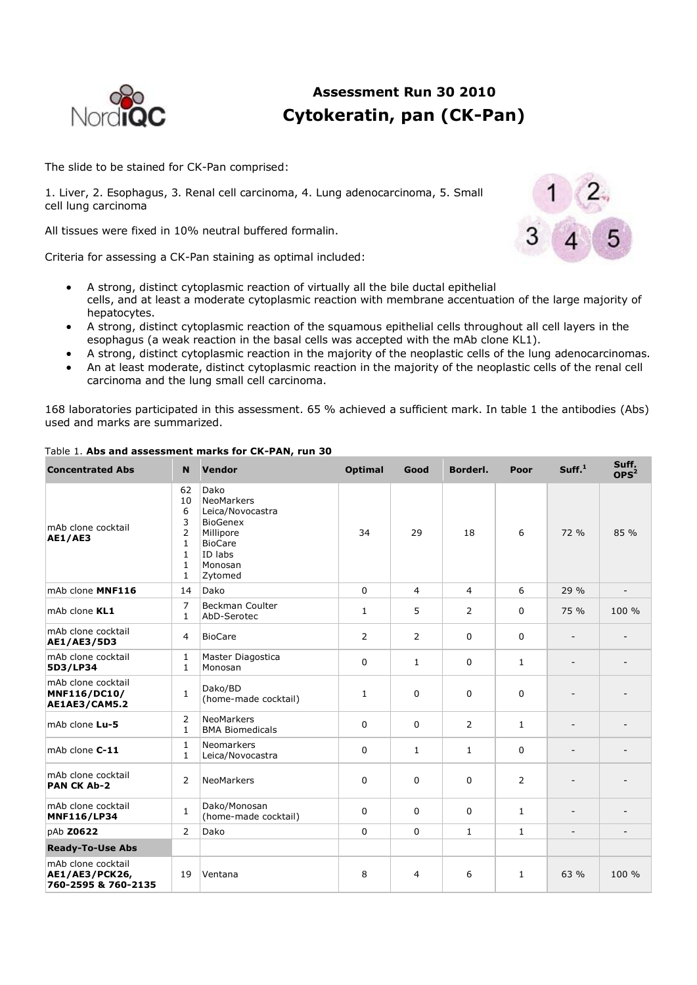

# **Assessment Run 30 2010 Cytokeratin, pan (CK-Pan)**

The slide to be stained for CK-Pan comprised:

1. Liver, 2. Esophagus, 3. Renal cell carcinoma, 4. Lung adenocarcinoma, 5. Small cell lung carcinoma

All tissues were fixed in 10% neutral buffered formalin.

Criteria for assessing a CK-Pan staining as optimal included:



- A strong, distinct cytoplasmic reaction of virtually all the bile ductal epithelial cells, and at least a moderate cytoplasmic reaction with membrane accentuation of the large majority of hepatocytes.
- A strong, distinct cytoplasmic reaction of the squamous epithelial cells throughout all cell layers in the esophagus (a weak reaction in the basal cells was accepted with the mAb clone KL1).
- A strong, distinct cytoplasmic reaction in the majority of the neoplastic cells of the lung adenocarcinomas.
- An at least moderate, distinct cytoplasmic reaction in the majority of the neoplastic cells of the renal cell carcinoma and the lung small cell carcinoma.

168 laboratories participated in this assessment. 65 % achieved a sufficient mark. In table 1 the antibodies (Abs) used and marks are summarized.

| <b>Concentrated Abs</b>                                            | Vendor<br>N                                                                                          |                                                                                                                                        | <b>Optimal</b><br>Good |                | Borderl.       | Poor           | Suff. <sup>1</sup>       | Suff.<br>OPS <sup>2</sup> |  |
|--------------------------------------------------------------------|------------------------------------------------------------------------------------------------------|----------------------------------------------------------------------------------------------------------------------------------------|------------------------|----------------|----------------|----------------|--------------------------|---------------------------|--|
| mAb clone cocktail<br><b>AE1/AE3</b>                               | 62<br>10<br>6<br>3<br>$\overline{2}$<br>$\mathbf{1}$<br>$\mathbf{1}$<br>$\mathbf{1}$<br>$\mathbf{1}$ | Dako<br><b>NeoMarkers</b><br>Leica/Novocastra<br><b>BioGenex</b><br>34<br>Millipore<br><b>BioCare</b><br>ID labs<br>Monosan<br>Zytomed |                        | 29             | 18             | 6              | 72 %                     | 85 %                      |  |
| mAb clone MNF116                                                   | 14                                                                                                   | Dako                                                                                                                                   | $\mathbf 0$            | $\overline{4}$ | $\overline{4}$ | 6              | 29 %                     | $\overline{a}$            |  |
| mAb clone KL1                                                      | $\overline{7}$<br>$\mathbf{1}$                                                                       | <b>Beckman Coulter</b><br>AbD-Serotec                                                                                                  | $\mathbf{1}$           | 5              | 2              | $\mathbf 0$    | 75 %                     | 100 %                     |  |
| mAb clone cocktail<br>AE1/AE3/5D3                                  | 4                                                                                                    | <b>BioCare</b>                                                                                                                         | 2                      | 2              | 0              | $\Omega$       | $\qquad \qquad -$        |                           |  |
| mAb clone cocktail<br>5D3/LP34                                     | $\mathbf{1}$<br>$\mathbf{1}$                                                                         | Master Diagostica<br>Monosan                                                                                                           | 0                      | $\mathbf{1}$   | $\mathbf 0$    | $\mathbf{1}$   | $\overline{a}$           |                           |  |
| mAb clone cocktail<br>MNF116/DC10/<br>AE1AE3/CAM5.2                | $\mathbf{1}$                                                                                         | Dako/BD<br>(home-made cocktail)                                                                                                        | $\mathbf{1}$           | $\Omega$       | 0              | $\Omega$       |                          |                           |  |
| mAb clone Lu-5                                                     | 2<br>$\mathbf{1}$                                                                                    | <b>NeoMarkers</b><br><b>BMA Biomedicals</b>                                                                                            | $\Omega$               | $\Omega$       | 2              | $\mathbf{1}$   | $\overline{\phantom{a}}$ |                           |  |
| mAb clone C-11                                                     | 1<br>$\mathbf{1}$                                                                                    | <b>Neomarkers</b><br>Leica/Novocastra                                                                                                  | $\mathbf 0$            | 1              | $\mathbf{1}$   | $\mathbf 0$    |                          |                           |  |
| mAb clone cocktail<br><b>PAN CK Ab-2</b>                           | $\overline{2}$                                                                                       | <b>NeoMarkers</b>                                                                                                                      | $\mathbf 0$            | $\Omega$       | 0              | $\overline{2}$ |                          |                           |  |
| mAb clone cocktail<br><b>MNF116/LP34</b>                           | 1                                                                                                    | Dako/Monosan<br>(home-made cocktail)                                                                                                   | $\mathbf 0$            | $\mathbf{0}$   | $\mathbf 0$    | $\mathbf{1}$   | $\overline{\phantom{a}}$ |                           |  |
| pAb Z0622                                                          | 2                                                                                                    | Dako                                                                                                                                   | 0                      | $\mathbf{0}$   | 1              | $\mathbf{1}$   | $\overline{a}$           |                           |  |
| <b>Ready-To-Use Abs</b>                                            |                                                                                                      |                                                                                                                                        |                        |                |                |                |                          |                           |  |
| mAb clone cocktail<br><b>AE1/AE3/PCK26,</b><br>760-2595 & 760-2135 | 19                                                                                                   | Ventana                                                                                                                                | 8                      | 4              | 6              | $\mathbf{1}$   | 63 %                     | 100 %                     |  |

## Table 1. **Abs and assessment marks for CK-PAN, run 30**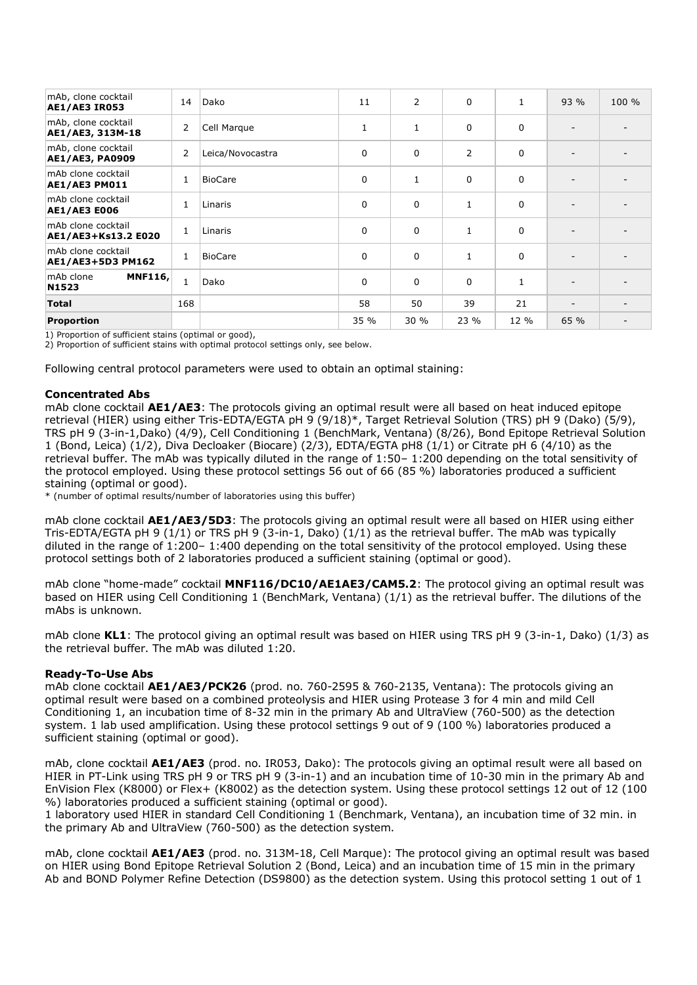| mAb, clone cocktail<br><b>AE1/AE3 IR053</b>   | 14             | Dako             | 11           | $\overline{2}$ | 0    | $\mathbf{1}$ | 93 % | 100 % |
|-----------------------------------------------|----------------|------------------|--------------|----------------|------|--------------|------|-------|
| mAb, clone cocktail<br>AE1/AE3, 313M-18       | $\overline{2}$ | Cell Marque      | $\mathbf{1}$ | $\mathbf{1}$   | 0    | 0            |      |       |
| mAb, clone cocktail<br><b>AE1/AE3, PA0909</b> | $\overline{2}$ | Leica/Novocastra | $\Omega$     | $\Omega$       | 2    | 0            |      |       |
| mAb clone cocktail<br>AE1/AE3 PM011           | $\mathbf{1}$   | <b>BioCare</b>   | $\mathbf 0$  | 1              | 0    | 0            |      |       |
| mAb clone cocktail<br><b>AE1/AE3 E006</b>     | $\mathbf{1}$   | Linaris          | $\mathbf 0$  | $\Omega$       | 1    | 0            |      |       |
| mAb clone cocktail<br>AE1/AE3+Ks13.2 E020     | 1              | Linaris          | $\Omega$     | $\Omega$       | 1    | $\Omega$     |      |       |
| mAb clone cocktail<br>AE1/AE3+5D3 PM162       | $\mathbf{1}$   | <b>BioCare</b>   | $\mathbf 0$  | $\Omega$       | 1    | $\Omega$     |      |       |
| <b>MNF116,</b><br>mAb clone<br>N1523          | $\mathbf{1}$   | Dako             | $\mathbf 0$  | $\Omega$       | 0    | $\mathbf{1}$ |      |       |
| <b>Total</b>                                  | 168            |                  | 58           | 50             | 39   | 21           | -    |       |
| <b>Proportion</b>                             |                |                  | 35 %         | 30%            | 23 % | 12 %         | 65 % |       |

1) Proportion of sufficient stains (optimal or good),

2) Proportion of sufficient stains with optimal protocol settings only, see below.

Following central protocol parameters were used to obtain an optimal staining:

## **Concentrated Abs**

mAb clone cocktail **AE1/AE3**: The protocols giving an optimal result were all based on heat induced epitope retrieval (HIER) using either Tris-EDTA/EGTA pH 9 (9/18)\*, Target Retrieval Solution (TRS) pH 9 (Dako) (5/9), TRS pH 9 (3-in-1,Dako) (4/9), Cell Conditioning 1 (BenchMark, Ventana) (8/26), Bond Epitope Retrieval Solution 1 (Bond, Leica) (1/2), Diva Decloaker (Biocare) (2/3), EDTA/EGTA pH8 (1/1) or Citrate pH 6 (4/10) as the retrieval buffer. The mAb was typically diluted in the range of 1:50– 1:200 depending on the total sensitivity of the protocol employed. Using these protocol settings 56 out of 66 (85 %) laboratories produced a sufficient staining (optimal or good).

\* (number of optimal results/number of laboratories using this buffer)

mAb clone cocktail **AE1/AE3/5D3**: The protocols giving an optimal result were all based on HIER using either Tris-EDTA/EGTA pH 9 (1/1) or TRS pH 9 (3-in-1, Dako) (1/1) as the retrieval buffer. The mAb was typically diluted in the range of 1:200– 1:400 depending on the total sensitivity of the protocol employed. Using these protocol settings both of 2 laboratories produced a sufficient staining (optimal or good).

mAb clone "home-made" cocktail **MNF116/DC10/AE1AE3/CAM5.2**: The protocol giving an optimal result was based on HIER using Cell Conditioning 1 (BenchMark, Ventana) (1/1) as the retrieval buffer. The dilutions of the mAbs is unknown.

mAb clone **KL1**: The protocol giving an optimal result was based on HIER using TRS pH 9 (3-in-1, Dako) (1/3) as the retrieval buffer. The mAb was diluted 1:20.

# **Ready-To-Use Abs**

mAb clone cocktail **AE1/AE3/PCK26** (prod. no. 760-2595 & 760-2135, Ventana): The protocols giving an optimal result were based on a combined proteolysis and HIER using Protease 3 for 4 min and mild Cell Conditioning 1, an incubation time of 8-32 min in the primary Ab and UltraView (760-500) as the detection system. 1 lab used amplification. Using these protocol settings 9 out of 9 (100 %) laboratories produced a sufficient staining (optimal or good).

mAb, clone cocktail **AE1/AE3** (prod. no. IR053, Dako): The protocols giving an optimal result were all based on HIER in PT-Link using TRS pH 9 or TRS pH 9 (3-in-1) and an incubation time of 10-30 min in the primary Ab and EnVision Flex (K8000) or Flex+ (K8002) as the detection system. Using these protocol settings 12 out of 12 (100 %) laboratories produced a sufficient staining (optimal or good).

1 laboratory used HIER in standard Cell Conditioning 1 (Benchmark, Ventana), an incubation time of 32 min. in the primary Ab and UltraView (760-500) as the detection system.

mAb, clone cocktail **AE1/AE3** (prod. no. 313M-18, Cell Marque): The protocol giving an optimal result was based on HIER using Bond Epitope Retrieval Solution 2 (Bond, Leica) and an incubation time of 15 min in the primary Ab and BOND Polymer Refine Detection (DS9800) as the detection system. Using this protocol setting 1 out of 1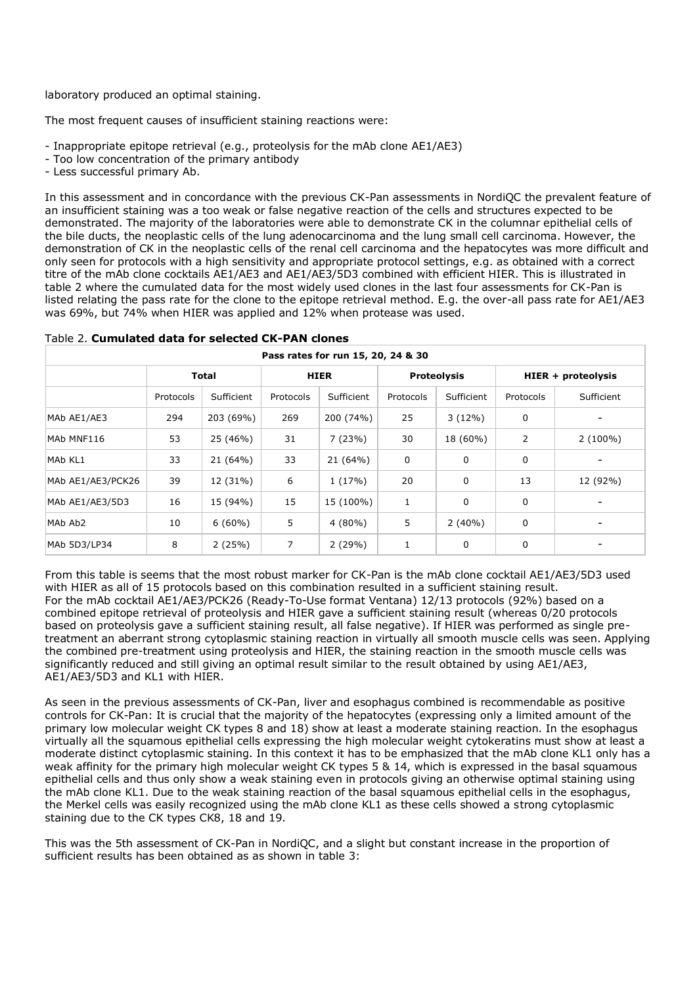laboratory produced an optimal staining.

The most frequent causes of insufficient staining reactions were:

- Inappropriate epitope retrieval (e.g., proteolysis for the mAb clone AE1/AE3)
- Too low concentration of the primary antibody
- Less successful primary Ab.

In this assessment and in concordance with the previous CK-Pan assessments in NordiQC the prevalent feature of an insufficient staining was a too weak or false negative reaction of the cells and structures expected to be demonstrated. The majority of the laboratories were able to demonstrate CK in the columnar epithelial cells of the bile ducts, the neoplastic cells of the lung adenocarcinoma and the lung small cell carcinoma. However, the demonstration of CK in the neoplastic cells of the renal cell carcinoma and the hepatocytes was more difficult and only seen for protocols with a high sensitivity and appropriate protocol settings, e.g. as obtained with a correct titre of the mAb clone cocktails AE1/AE3 and AE1/AE3/5D3 combined with efficient HIER. This is illustrated in table 2 where the cumulated data for the most widely used clones in the last four assessments for CK-Pan is listed relating the pass rate for the clone to the epitope retrieval method. E.g. the over-all pass rate for AE1/AE3 was 69%, but 74% when HIER was applied and 12% when protease was used.

| Pass rates for run 15, 20, 24 & 30 |              |            |                |            |                    |            |                    |            |  |  |
|------------------------------------|--------------|------------|----------------|------------|--------------------|------------|--------------------|------------|--|--|
|                                    | <b>Total</b> |            | <b>HIER</b>    |            | <b>Proteolysis</b> |            | HIER + proteolysis |            |  |  |
|                                    | Protocols    | Sufficient | Protocols      | Sufficient | Protocols          | Sufficient | Protocols          | Sufficient |  |  |
| MAb AE1/AE3                        | 294          | 203 (69%)  | 269            | 200 (74%)  | 25                 | 3(12%)     | 0                  |            |  |  |
| MAb MNF116                         | 53           | 25 (46%)   | 31             | 7(23%)     | 30                 | 18 (60%)   | 2                  | $2(100\%)$ |  |  |
| MAb KL1                            | 33           | 21 (64%)   | 33             | 21 (64%)   | 0                  | 0          | 0                  |            |  |  |
| MAb AE1/AE3/PCK26                  | 39           | 12 (31%)   | 6              | 1(17%)     | 20                 | 0          | 13                 | 12 (92%)   |  |  |
| MAb AE1/AE3/5D3                    | 16           | 15 (94%)   | 15             | 15 (100%)  | 1                  | 0          | 0                  |            |  |  |
| MAb Ab <sub>2</sub>                | 10           | $6(60\%)$  | 5              | $4(80\%)$  | 5                  | $2(40\%)$  | $\mathbf 0$        |            |  |  |
| MAb 5D3/LP34                       | 8            | 2(25%)     | $\overline{7}$ | 2(29%)     | 1                  | 0          | 0                  |            |  |  |

## Table 2. **Cumulated data for selected CK-PAN clones**

From this table is seems that the most robust marker for CK-Pan is the mAb clone cocktail AE1/AE3/5D3 used with HIER as all of 15 protocols based on this combination resulted in a sufficient staining result. For the mAb cocktail AE1/AE3/PCK26 (Ready-To-Use format Ventana) 12/13 protocols (92%) based on a combined epitope retrieval of proteolysis and HIER gave a sufficient staining result (whereas 0/20 protocols based on proteolysis gave a sufficient staining result, all false negative). If HIER was performed as single pretreatment an aberrant strong cytoplasmic staining reaction in virtually all smooth muscle cells was seen. Applying the combined pre-treatment using proteolysis and HIER, the staining reaction in the smooth muscle cells was significantly reduced and still giving an optimal result similar to the result obtained by using AE1/AE3, AE1/AE3/5D3 and KL1 with HIER.

As seen in the previous assessments of CK-Pan, liver and esophagus combined is recommendable as positive controls for CK-Pan: It is crucial that the majority of the hepatocytes (expressing only a limited amount of the primary low molecular weight CK types 8 and 18) show at least a moderate staining reaction. In the esophagus virtually all the squamous epithelial cells expressing the high molecular weight cytokeratins must show at least a moderate distinct cytoplasmic staining. In this context it has to be emphasized that the mAb clone KL1 only has a weak affinity for the primary high molecular weight CK types 5 & 14, which is expressed in the basal squamous epithelial cells and thus only show a weak staining even in protocols giving an otherwise optimal staining using the mAb clone KL1. Due to the weak staining reaction of the basal squamous epithelial cells in the esophagus, the Merkel cells was easily recognized using the mAb clone KL1 as these cells showed a strong cytoplasmic staining due to the CK types CK8, 18 and 19.

This was the 5th assessment of CK-Pan in NordiQC, and a slight but constant increase in the proportion of sufficient results has been obtained as as shown in table 3: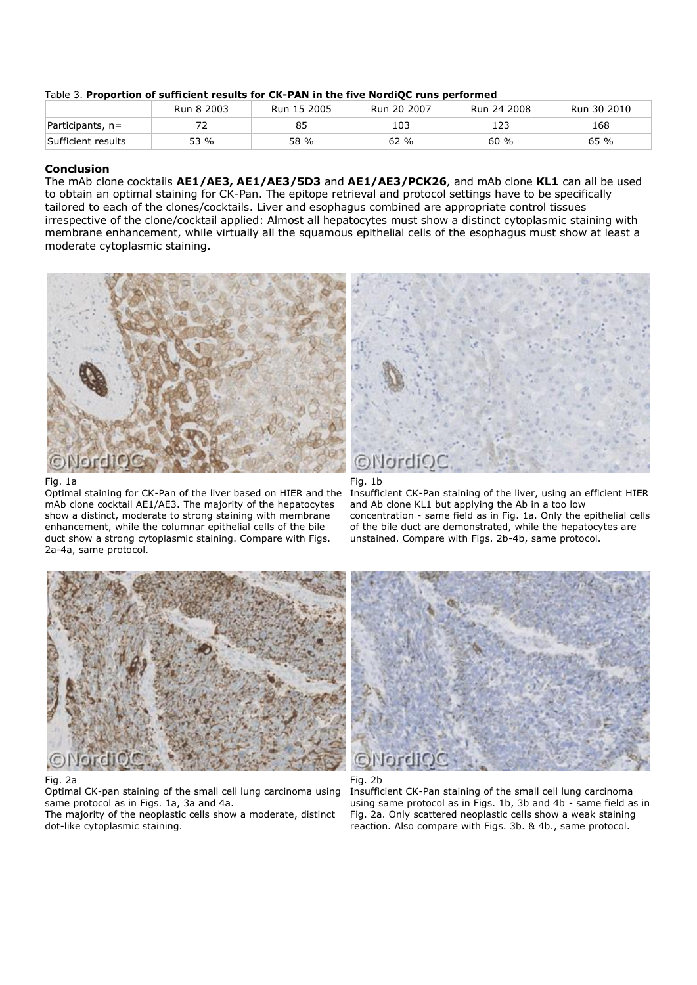#### Table 3. **Proportion of sufficient results for CK-PAN in the five NordiQC runs performed**

|                    | Run 8 2003 | Run 15 2005 | Run 20 2007 | Run 24 2008 | Run 30 2010 |
|--------------------|------------|-------------|-------------|-------------|-------------|
| Participants, $n=$ |            | 85          | 103         | 123         | 168         |
| Sufficient results | 53 %       | 58 %        | 62 %        | 60%         | 65 %        |

## **Conclusion**

The mAb clone cocktails **AE1/AE3, AE1/AE3/5D3** and **AE1/AE3/PCK26**, and mAb clone **KL1** can all be used to obtain an optimal staining for CK-Pan. The epitope retrieval and protocol settings have to be specifically tailored to each of the clones/cocktails. Liver and esophagus combined are appropriate control tissues irrespective of the clone/cocktail applied: Almost all hepatocytes must show a distinct cytoplasmic staining with membrane enhancement, while virtually all the squamous epithelial cells of the esophagus must show at least a moderate cytoplasmic staining.



#### Fig. 1a

Optimal staining for CK-Pan of the liver based on HIER and the mAb clone cocktail AE1/AE3. The majority of the hepatocytes show a distinct, moderate to strong staining with membrane enhancement, while the columnar epithelial cells of the bile duct show a strong cytoplasmic staining. Compare with Figs. 2a-4a, same protocol.





Insufficient CK-Pan staining of the liver, using an efficient HIER and Ab clone KL1 but applying the Ab in a too low concentration - same field as in Fig. 1a. Only the epithelial cells of the bile duct are demonstrated, while the hepatocytes are unstained. Compare with Figs. 2b-4b, same protocol.



### Fig. 2a

Optimal CK-pan staining of the small cell lung carcinoma using same protocol as in Figs. 1a, 3a and 4a.

The majority of the neoplastic cells show a moderate, distinct dot-like cytoplasmic staining.





Insufficient CK-Pan staining of the small cell lung carcinoma using same protocol as in Figs. 1b, 3b and 4b - same field as in Fig. 2a. Only scattered neoplastic cells show a weak staining reaction. Also compare with Figs. 3b. & 4b., same protocol.